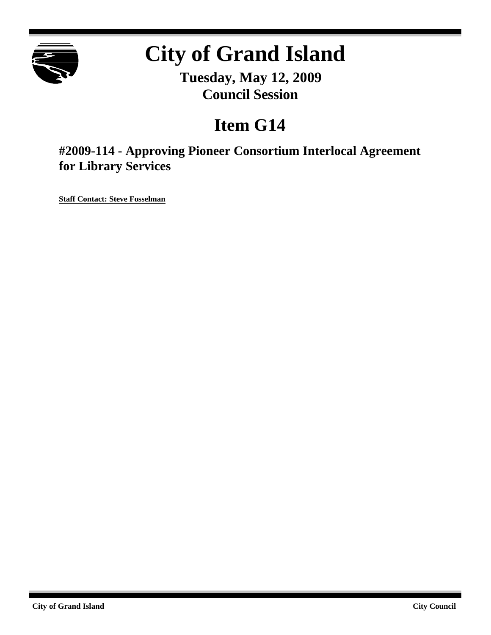

# **City of Grand Island**

**Tuesday, May 12, 2009 Council Session**

## **Item G14**

**#2009-114 - Approving Pioneer Consortium Interlocal Agreement for Library Services**

**Staff Contact: Steve Fosselman**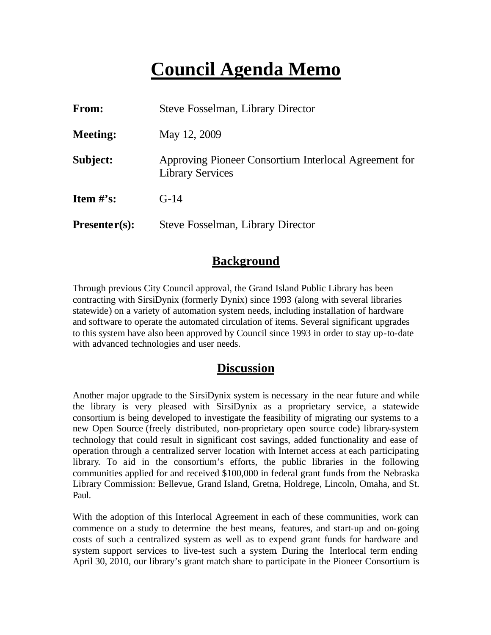## **Council Agenda Memo**

| From:           | Steve Fosselman, Library Director                                                |  |
|-----------------|----------------------------------------------------------------------------------|--|
| <b>Meeting:</b> | May 12, 2009                                                                     |  |
| Subject:        | Approving Pioneer Consortium Interlocal Agreement for<br><b>Library Services</b> |  |
| Item $#$ 's:    | $G-14$                                                                           |  |
| $Presenter(s):$ | Steve Fosselman, Library Director                                                |  |

## **Background**

Through previous City Council approval, the Grand Island Public Library has been contracting with SirsiDynix (formerly Dynix) since 1993 (along with several libraries statewide) on a variety of automation system needs, including installation of hardware and software to operate the automated circulation of items. Several significant upgrades to this system have also been approved by Council since 1993 in order to stay up-to-date with advanced technologies and user needs.

### **Discussion**

Another major upgrade to the SirsiDynix system is necessary in the near future and while the library is very pleased with SirsiDynix as a proprietary service, a statewide consortium is being developed to investigate the feasibility of migrating our systems to a new Open Source (freely distributed, non-proprietary open source code) library-system technology that could result in significant cost savings, added functionality and ease of operation through a centralized server location with Internet access at each participating library. To aid in the consortium's efforts, the public libraries in the following communities applied for and received \$100,000 in federal grant funds from the Nebraska Library Commission: Bellevue, Grand Island, Gretna, Holdrege, Lincoln, Omaha, and St. Paul.

With the adoption of this Interlocal Agreement in each of these communities, work can commence on a study to determine the best means, features, and start-up and on-going costs of such a centralized system as well as to expend grant funds for hardware and system support services to live-test such a system. During the Interlocal term ending April 30, 2010, our library's grant match share to participate in the Pioneer Consortium is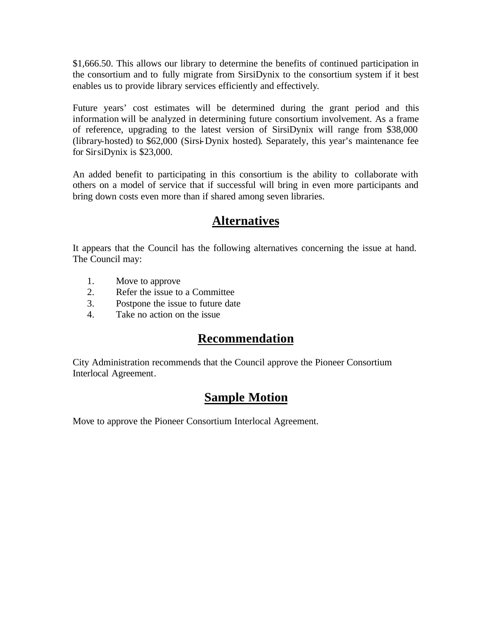\$1,666.50. This allows our library to determine the benefits of continued participation in the consortium and to fully migrate from SirsiDynix to the consortium system if it best enables us to provide library services efficiently and effectively.

Future years' cost estimates will be determined during the grant period and this information will be analyzed in determining future consortium involvement. As a frame of reference, upgrading to the latest version of SirsiDynix will range from \$38,000 (library-hosted) to \$62,000 (Sirsi-Dynix hosted). Separately, this year's maintenance fee for SirsiDynix is \$23,000.

An added benefit to participating in this consortium is the ability to collaborate with others on a model of service that if successful will bring in even more participants and bring down costs even more than if shared among seven libraries.

## **Alternatives**

It appears that the Council has the following alternatives concerning the issue at hand. The Council may:

- 1. Move to approve
- 2. Refer the issue to a Committee
- 3. Postpone the issue to future date
- 4. Take no action on the issue

## **Recommendation**

City Administration recommends that the Council approve the Pioneer Consortium Interlocal Agreement.

## **Sample Motion**

Move to approve the Pioneer Consortium Interlocal Agreement.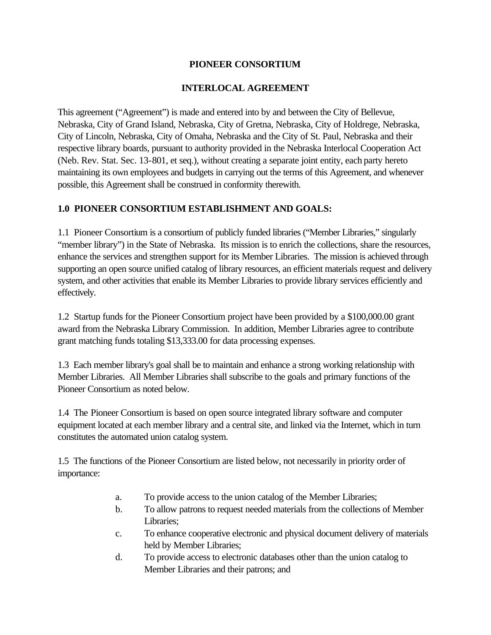#### **PIONEER CONSORTIUM**

#### **INTERLOCAL AGREEMENT**

This agreement ("Agreement") is made and entered into by and between the City of Bellevue, Nebraska, City of Grand Island, Nebraska, City of Gretna, Nebraska, City of Holdrege, Nebraska, City of Lincoln, Nebraska, City of Omaha, Nebraska and the City of St. Paul, Nebraska and their respective library boards, pursuant to authority provided in the Nebraska Interlocal Cooperation Act (Neb. Rev. Stat. Sec. 13-801, et seq.), without creating a separate joint entity, each party hereto maintaining its own employees and budgets in carrying out the terms of this Agreement, and whenever possible, this Agreement shall be construed in conformity therewith.

#### **1.0 PIONEER CONSORTIUM ESTABLISHMENT AND GOALS:**

1.1 Pioneer Consortium is a consortium of publicly funded libraries ("Member Libraries," singularly "member library") in the State of Nebraska. Its mission is to enrich the collections, share the resources, enhance the services and strengthen support for its Member Libraries. The mission is achieved through supporting an open source unified catalog of library resources, an efficient materials request and delivery system, and other activities that enable its Member Libraries to provide library services efficiently and effectively.

1.2 Startup funds for the Pioneer Consortium project have been provided by a \$100,000.00 grant award from the Nebraska Library Commission. In addition, Member Libraries agree to contribute grant matching funds totaling \$13,333.00 for data processing expenses.

1.3 Each member library's goal shall be to maintain and enhance a strong working relationship with Member Libraries. All Member Libraries shall subscribe to the goals and primary functions of the Pioneer Consortium as noted below.

1.4 The Pioneer Consortium is based on open source integrated library software and computer equipment located at each member library and a central site, and linked via the Internet, which in turn constitutes the automated union catalog system.

1.5 The functions of the Pioneer Consortium are listed below, not necessarily in priority order of importance:

- a. To provide access to the union catalog of the Member Libraries;
- b. To allow patrons to request needed materials from the collections of Member Libraries;
- c. To enhance cooperative electronic and physical document delivery of materials held by Member Libraries;
- d. To provide access to electronic databases other than the union catalog to Member Libraries and their patrons; and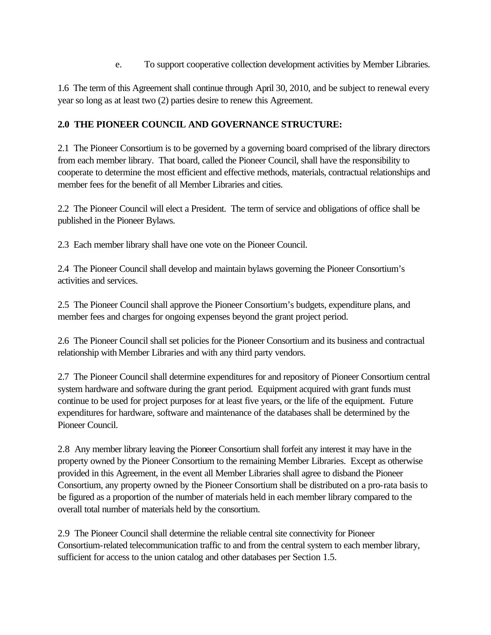e. To support cooperative collection development activities by Member Libraries.

1.6 The term of this Agreement shall continue through April 30, 2010, and be subject to renewal every year so long as at least two (2) parties desire to renew this Agreement.

#### **2.0 THE PIONEER COUNCIL AND GOVERNANCE STRUCTURE:**

2.1 The Pioneer Consortium is to be governed by a governing board comprised of the library directors from each member library. That board, called the Pioneer Council, shall have the responsibility to cooperate to determine the most efficient and effective methods, materials, contractual relationships and member fees for the benefit of all Member Libraries and cities.

2.2 The Pioneer Council will elect a President. The term of service and obligations of office shall be published in the Pioneer Bylaws.

2.3 Each member library shall have one vote on the Pioneer Council.

2.4 The Pioneer Council shall develop and maintain bylaws governing the Pioneer Consortium's activities and services.

2.5 The Pioneer Council shall approve the Pioneer Consortium's budgets, expenditure plans, and member fees and charges for ongoing expenses beyond the grant project period.

2.6 The Pioneer Council shall set policies for the Pioneer Consortium and its business and contractual relationship with Member Libraries and with any third party vendors.

2.7 The Pioneer Council shall determine expenditures for and repository of Pioneer Consortium central system hardware and software during the grant period. Equipment acquired with grant funds must continue to be used for project purposes for at least five years, or the life of the equipment. Future expenditures for hardware, software and maintenance of the databases shall be determined by the Pioneer Council.

2.8 Any member library leaving the Pioneer Consortium shall forfeit any interest it may have in the property owned by the Pioneer Consortium to the remaining Member Libraries. Except as otherwise provided in this Agreement, in the event all Member Libraries shall agree to disband the Pioneer Consortium, any property owned by the Pioneer Consortium shall be distributed on a pro-rata basis to be figured as a proportion of the number of materials held in each member library compared to the overall total number of materials held by the consortium.

2.9 The Pioneer Council shall determine the reliable central site connectivity for Pioneer Consortium-related telecommunication traffic to and from the central system to each member library, sufficient for access to the union catalog and other databases per Section 1.5.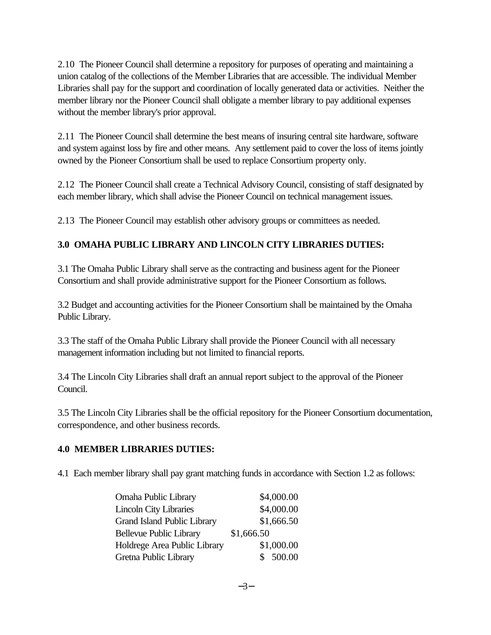2.10 The Pioneer Council shall determine a repository for purposes of operating and maintaining a union catalog of the collections of the Member Libraries that are accessible. The individual Member Libraries shall pay for the support and coordination of locally generated data or activities. Neither the member library nor the Pioneer Council shall obligate a member library to pay additional expenses without the member library's prior approval.

2.11 The Pioneer Council shall determine the best means of insuring central site hardware, software and system against loss by fire and other means. Any settlement paid to cover the loss of items jointly owned by the Pioneer Consortium shall be used to replace Consortium property only.

2.12 The Pioneer Council shall create a Technical Advisory Council, consisting of staff designated by each member library, which shall advise the Pioneer Council on technical management issues.

2.13 The Pioneer Council may establish other advisory groups or committees as needed.

#### **3.0 OMAHA PUBLIC LIBRARY AND LINCOLN CITY LIBRARIES DUTIES:**

3.1 The Omaha Public Library shall serve as the contracting and business agent for the Pioneer Consortium and shall provide administrative support for the Pioneer Consortium as follows.

3.2 Budget and accounting activities for the Pioneer Consortium shall be maintained by the Omaha Public Library.

3.3 The staff of the Omaha Public Library shall provide the Pioneer Council with all necessary management information including but not limited to financial reports.

3.4 The Lincoln City Libraries shall draft an annual report subject to the approval of the Pioneer Council.

3.5 The Lincoln City Libraries shall be the official repository for the Pioneer Consortium documentation, correspondence, and other business records.

#### **4.0 MEMBER LIBRARIES DUTIES:**

4.1 Each member library shall pay grant matching funds in accordance with Section 1.2 as follows:

| Omaha Public Library               | \$4,000.00 |
|------------------------------------|------------|
| <b>Lincoln City Libraries</b>      | \$4,000.00 |
| <b>Grand Island Public Library</b> | \$1,666.50 |
| <b>Bellevue Public Library</b>     | \$1,666.50 |
| Holdrege Area Public Library       | \$1,000.00 |
| Gretna Public Library              | \$500.00   |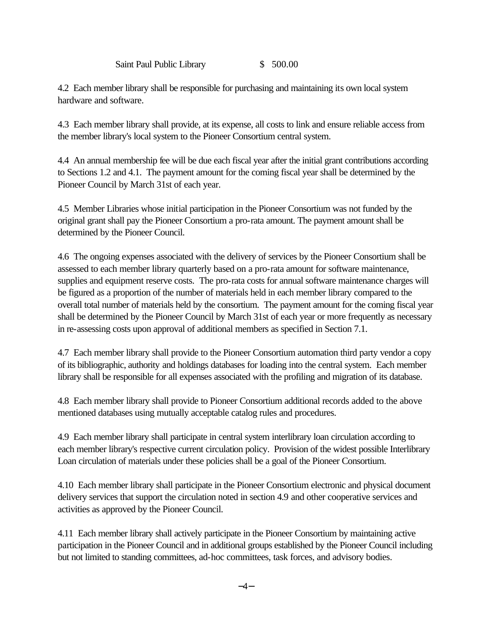Saint Paul Public Library \$ 500.00

4.2 Each member library shall be responsible for purchasing and maintaining its own local system hardware and software.

4.3 Each member library shall provide, at its expense, all costs to link and ensure reliable access from the member library's local system to the Pioneer Consortium central system.

4.4 An annual membership fee will be due each fiscal year after the initial grant contributions according to Sections 1.2 and 4.1. The payment amount for the coming fiscal year shall be determined by the Pioneer Council by March 31st of each year.

4.5 Member Libraries whose initial participation in the Pioneer Consortium was not funded by the original grant shall pay the Pioneer Consortium a pro-rata amount. The payment amount shall be determined by the Pioneer Council.

4.6 The ongoing expenses associated with the delivery of services by the Pioneer Consortium shall be assessed to each member library quarterly based on a pro-rata amount for software maintenance, supplies and equipment reserve costs. The pro-rata costs for annual software maintenance charges will be figured as a proportion of the number of materials held in each member library compared to the overall total number of materials held by the consortium. The payment amount for the coming fiscal year shall be determined by the Pioneer Council by March 31st of each year or more frequently as necessary in re-assessing costs upon approval of additional members as specified in Section 7.1.

4.7 Each member library shall provide to the Pioneer Consortium automation third party vendor a copy of its bibliographic, authority and holdings databases for loading into the central system. Each member library shall be responsible for all expenses associated with the profiling and migration of its database.

4.8 Each member library shall provide to Pioneer Consortium additional records added to the above mentioned databases using mutually acceptable catalog rules and procedures.

4.9 Each member library shall participate in central system interlibrary loan circulation according to each member library's respective current circulation policy. Provision of the widest possible Interlibrary Loan circulation of materials under these policies shall be a goal of the Pioneer Consortium.

4.10 Each member library shall participate in the Pioneer Consortium electronic and physical document delivery services that support the circulation noted in section 4.9 and other cooperative services and activities as approved by the Pioneer Council.

4.11 Each member library shall actively participate in the Pioneer Consortium by maintaining active participation in the Pioneer Council and in additional groups established by the Pioneer Council including but not limited to standing committees, ad-hoc committees, task forces, and advisory bodies.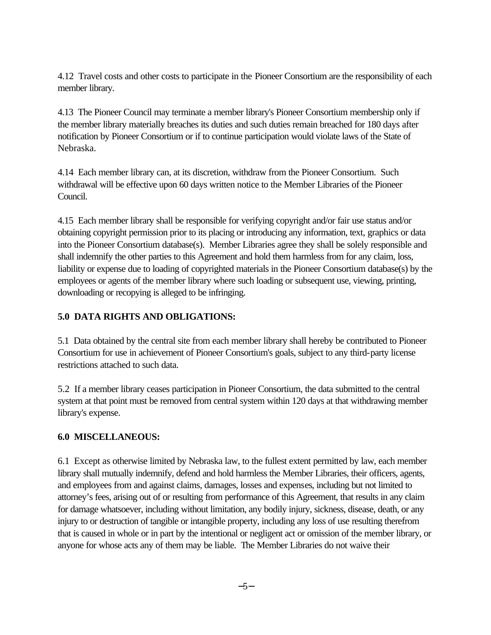4.12 Travel costs and other costs to participate in the Pioneer Consortium are the responsibility of each member library.

4.13 The Pioneer Council may terminate a member library's Pioneer Consortium membership only if the member library materially breaches its duties and such duties remain breached for 180 days after notification by Pioneer Consortium or if to continue participation would violate laws of the State of Nebraska.

4.14 Each member library can, at its discretion, withdraw from the Pioneer Consortium. Such withdrawal will be effective upon 60 days written notice to the Member Libraries of the Pioneer Council.

4.15 Each member library shall be responsible for verifying copyright and/or fair use status and/or obtaining copyright permission prior to its placing or introducing any information, text, graphics or data into the Pioneer Consortium database(s). Member Libraries agree they shall be solely responsible and shall indemnify the other parties to this Agreement and hold them harmless from for any claim, loss, liability or expense due to loading of copyrighted materials in the Pioneer Consortium database(s) by the employees or agents of the member library where such loading or subsequent use, viewing, printing, downloading or recopying is alleged to be infringing.

#### **5.0 DATA RIGHTS AND OBLIGATIONS:**

5.1 Data obtained by the central site from each member library shall hereby be contributed to Pioneer Consortium for use in achievement of Pioneer Consortium's goals, subject to any third-party license restrictions attached to such data.

5.2 If a member library ceases participation in Pioneer Consortium, the data submitted to the central system at that point must be removed from central system within 120 days at that withdrawing member library's expense.

#### **6.0 MISCELLANEOUS:**

6.1 Except as otherwise limited by Nebraska law, to the fullest extent permitted by law, each member library shall mutually indemnify, defend and hold harmless the Member Libraries, their officers, agents, and employees from and against claims, damages, losses and expenses, including but not limited to attorney's fees, arising out of or resulting from performance of this Agreement, that results in any claim for damage whatsoever, including without limitation, any bodily injury, sickness, disease, death, or any injury to or destruction of tangible or intangible property, including any loss of use resulting therefrom that is caused in whole or in part by the intentional or negligent act or omission of the member library, or anyone for whose acts any of them may be liable. The Member Libraries do not waive their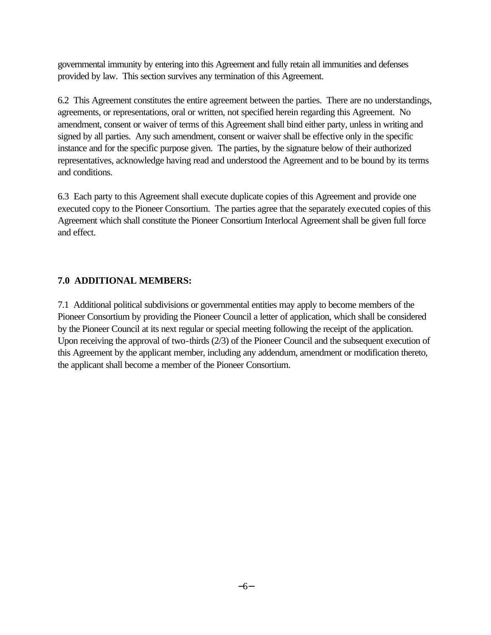governmental immunity by entering into this Agreement and fully retain all immunities and defenses provided by law. This section survives any termination of this Agreement.

6.2 This Agreement constitutes the entire agreement between the parties. There are no understandings, agreements, or representations, oral or written, not specified herein regarding this Agreement. No amendment, consent or waiver of terms of this Agreement shall bind either party, unless in writing and signed by all parties. Any such amendment, consent or waiver shall be effective only in the specific instance and for the specific purpose given. The parties, by the signature below of their authorized representatives, acknowledge having read and understood the Agreement and to be bound by its terms and conditions.

6.3 Each party to this Agreement shall execute duplicate copies of this Agreement and provide one executed copy to the Pioneer Consortium. The parties agree that the separately executed copies of this Agreement which shall constitute the Pioneer Consortium Interlocal Agreement shall be given full force and effect.

#### **7.0 ADDITIONAL MEMBERS:**

7.1 Additional political subdivisions or governmental entities may apply to become members of the Pioneer Consortium by providing the Pioneer Council a letter of application, which shall be considered by the Pioneer Council at its next regular or special meeting following the receipt of the application. Upon receiving the approval of two-thirds (2/3) of the Pioneer Council and the subsequent execution of this Agreement by the applicant member, including any addendum, amendment or modification thereto, the applicant shall become a member of the Pioneer Consortium.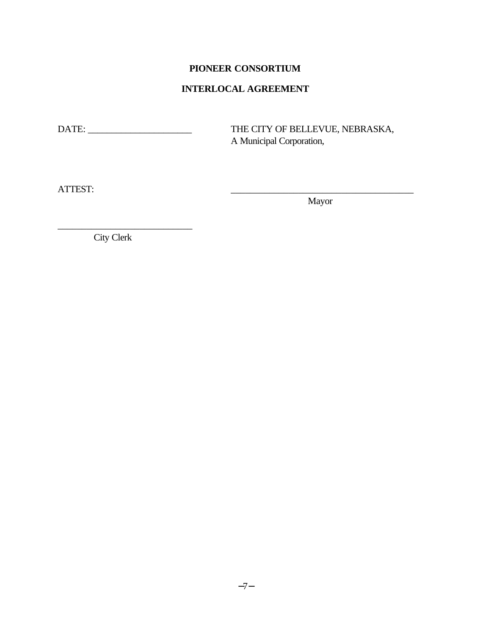#### **PIONEER CONSORTIUM**

#### **INTERLOCAL AGREEMENT**

DATE: \_\_\_\_\_\_\_\_\_\_\_\_\_\_\_\_\_\_\_\_\_\_ THE CITY OF BELLEVUE, NEBRASKA, A Municipal Corporation,

ATTEST: \_\_\_\_\_\_\_\_\_\_\_\_\_\_\_\_\_\_\_\_\_\_\_\_\_\_\_\_\_\_\_\_\_\_\_\_\_\_

Mayor

City Clerk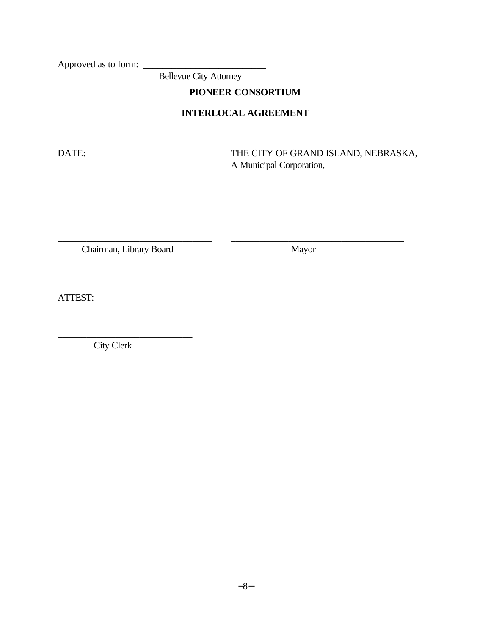Approved as to form: \_\_\_\_\_\_\_\_\_\_\_\_\_\_\_\_\_\_\_\_\_\_\_\_\_\_

Bellevue City Attorney

**PIONEER CONSORTIUM**

#### **INTERLOCAL AGREEMENT**

\_\_\_\_\_\_\_\_\_\_\_\_\_\_\_\_\_\_\_\_\_\_\_\_\_\_\_\_\_\_\_\_ \_\_\_\_\_\_\_\_\_\_\_\_\_\_\_\_\_\_\_\_\_\_\_\_\_\_\_\_\_\_\_\_\_\_\_\_

DATE: \_\_\_\_\_\_\_\_\_\_\_\_\_\_\_\_\_\_\_\_\_\_ THE CITY OF GRAND ISLAND, NEBRASKA, A Municipal Corporation,

Chairman, Library Board Mayor

ATTEST:

City Clerk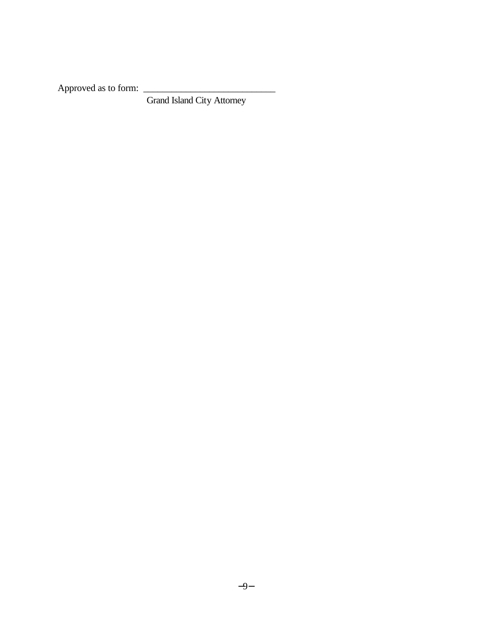Approved as to form: \_\_\_\_\_\_\_\_\_\_\_\_\_\_\_\_\_\_\_\_\_\_\_\_\_\_\_\_

Grand Island City Attorney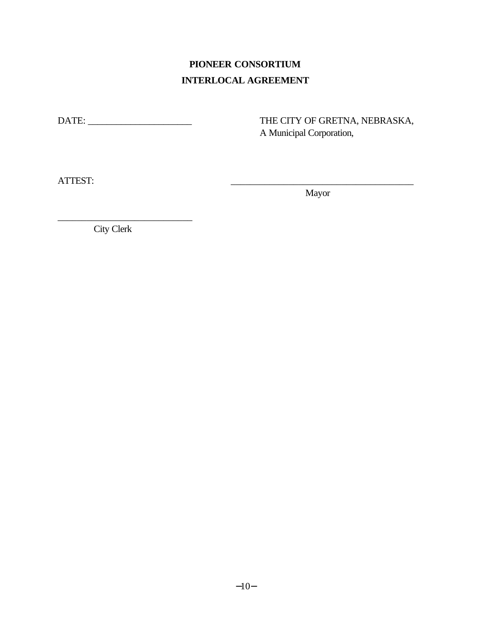## **PIONEER CONSORTIUM INTERLOCAL AGREEMENT**

DATE: \_\_\_\_\_\_\_\_\_\_\_\_\_\_\_\_\_\_\_\_\_\_ THE CITY OF GRETNA, NEBRASKA, A Municipal Corporation,

ATTEST:

Mayor

City Clerk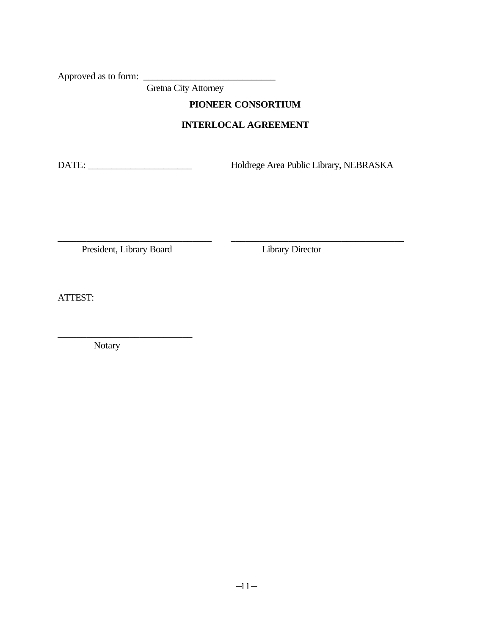Approved as to form: \_\_\_\_\_\_\_\_\_\_\_\_\_\_\_\_\_\_\_\_\_\_\_\_\_\_\_\_

Gretna City Attorney

#### **PIONEER CONSORTIUM**

#### **INTERLOCAL AGREEMENT**

\_\_\_\_\_\_\_\_\_\_\_\_\_\_\_\_\_\_\_\_\_\_\_\_\_\_\_\_\_\_\_\_ \_\_\_\_\_\_\_\_\_\_\_\_\_\_\_\_\_\_\_\_\_\_\_\_\_\_\_\_\_\_\_\_\_\_\_\_

DATE: \_\_\_\_\_\_\_\_\_\_\_\_\_\_\_\_\_\_\_\_\_\_ Holdrege Area Public Library, NEBRASKA

President, Library Board Library Director

ATTEST:

Notary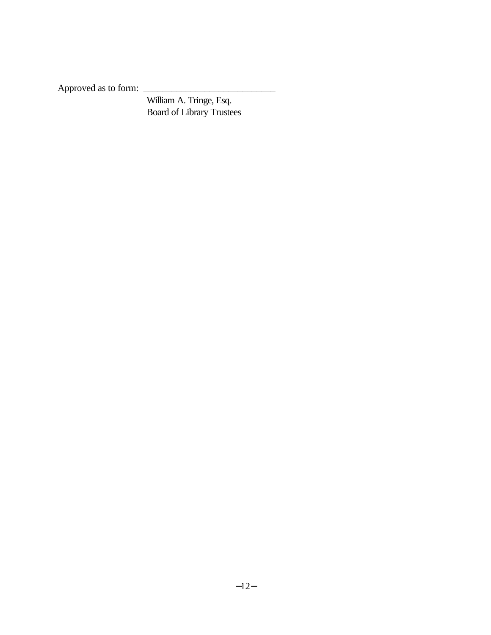Approved as to form: \_\_\_\_\_\_\_\_\_\_\_\_\_\_\_\_\_\_\_\_\_\_\_\_\_\_\_\_

 William A. Tringe, Esq. Board of Library Trustees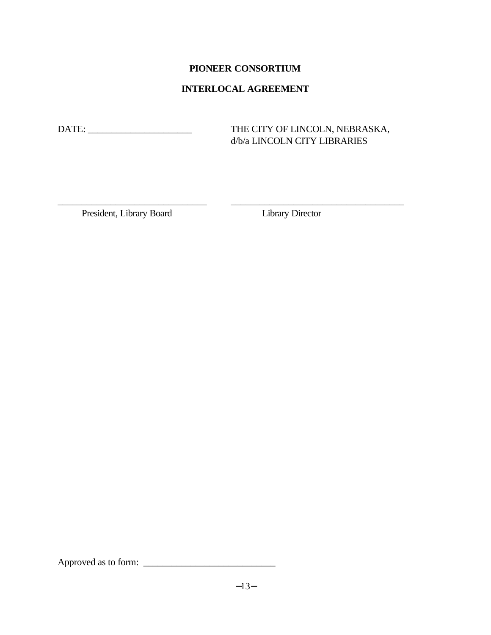#### **PIONEER CONSORTIUM**

#### **INTERLOCAL AGREEMENT**

DATE: \_\_\_\_\_\_\_\_\_\_\_\_\_\_\_\_\_\_\_\_\_\_ THE CITY OF LINCOLN, NEBRASKA, d/b/a LINCOLN CITY LIBRARIES

President, Library Board

\_\_\_\_\_\_\_\_\_\_\_\_\_\_\_\_\_\_\_\_\_\_\_\_\_\_\_\_\_\_\_ \_\_\_\_\_\_\_\_\_\_\_\_\_\_\_\_\_\_\_\_\_\_\_\_\_\_\_\_\_\_\_\_\_\_\_\_

Approved as to form: \_\_\_\_\_\_\_\_\_\_\_\_\_\_\_\_\_\_\_\_\_\_\_\_\_\_\_\_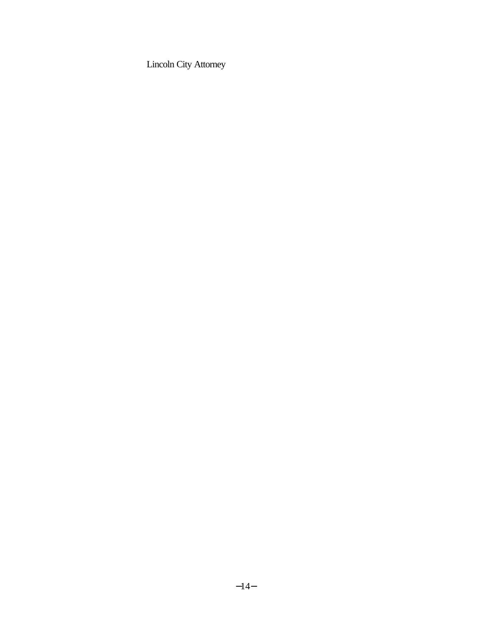Lincoln City Attorney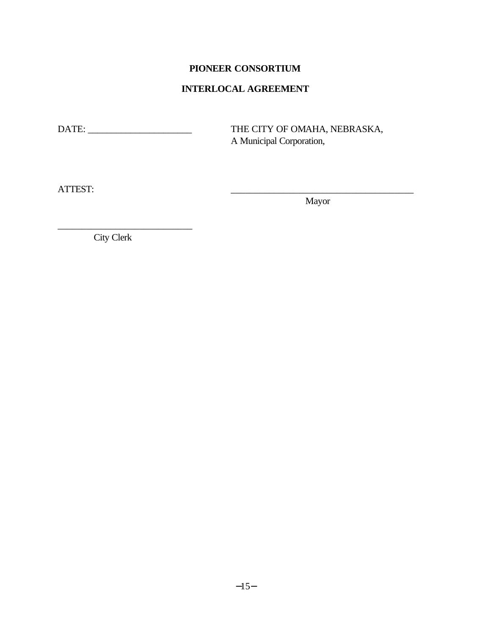#### **PIONEER CONSORTIUM**

#### **INTERLOCAL AGREEMENT**

DATE: \_\_\_\_\_\_\_\_\_\_\_\_\_\_\_\_\_\_\_\_\_\_ THE CITY OF OMAHA, NEBRASKA, A Municipal Corporation,

ATTEST: \_\_\_\_\_\_\_\_\_\_\_\_\_\_\_\_\_\_\_\_\_\_\_\_\_\_\_\_\_\_\_\_\_\_\_\_\_\_

Mayor

City Clerk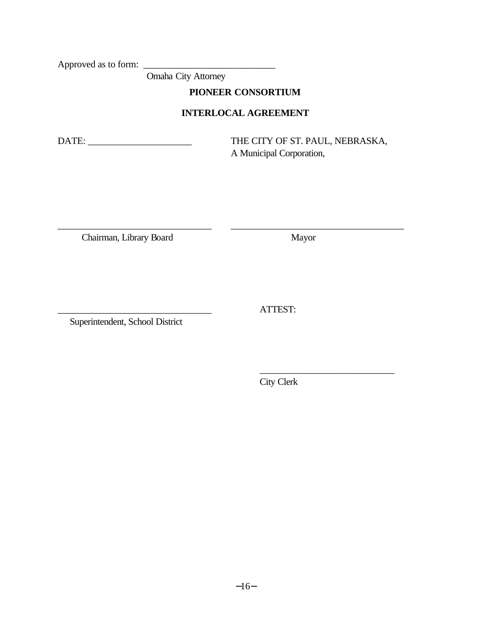Approved as to form:  $\overline{\phantom{a}}$ 

Omaha City Attorney

**PIONEER CONSORTIUM**

#### **INTERLOCAL AGREEMENT**

\_\_\_\_\_\_\_\_\_\_\_\_\_\_\_\_\_\_\_\_\_\_\_\_\_\_\_\_\_\_\_\_ \_\_\_\_\_\_\_\_\_\_\_\_\_\_\_\_\_\_\_\_\_\_\_\_\_\_\_\_\_\_\_\_\_\_\_\_

DATE: \_\_\_\_\_\_\_\_\_\_\_\_\_\_\_\_\_\_\_\_\_\_ THE CITY OF ST. PAUL, NEBRASKA, A Municipal Corporation,

Chairman, Library Board Mayor

Superintendent, School District

City Clerk

\_\_\_\_\_\_\_\_\_\_\_\_\_\_\_\_\_\_\_\_\_\_\_\_\_\_\_\_

\_\_\_\_\_\_\_\_\_\_\_\_\_\_\_\_\_\_\_\_\_\_\_\_\_\_\_\_\_\_\_\_ ATTEST: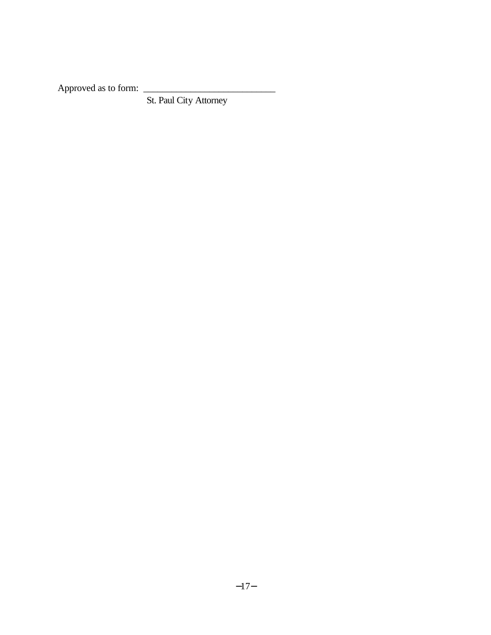Approved as to form: \_\_\_\_\_\_\_\_\_\_\_\_\_\_\_\_\_\_\_\_\_\_\_\_\_\_\_\_

St. Paul City Attorney